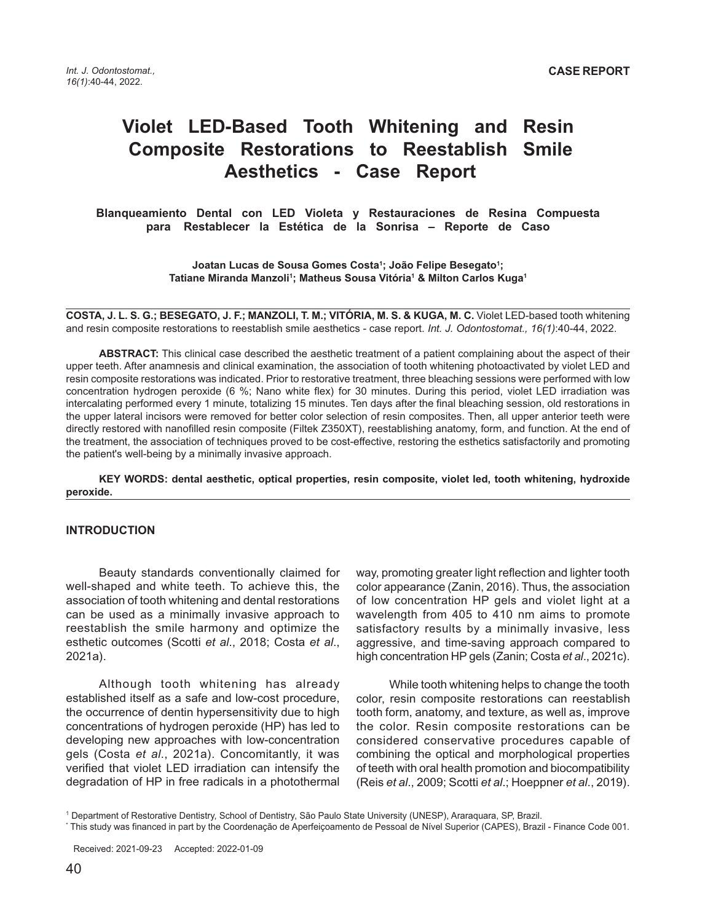# **Violet LED-Based Tooth Whitening and Resin Composite Restorations to Reestablish Smile Aesthetics - Case Report**

 **Blanqueamiento Dental con LED Violeta y Restauraciones de Resina Compuesta para Restablecer la Estética de la Sonrisa – Reporte de Caso**

> **Joatan Lucas de Sousa Gomes Costa1 ; João Felipe Besegato1 ; Tatiane Miranda Manzoli1 ; Matheus Sousa Vitória1 & Milton Carlos Kuga1**

**COSTA, J. L. S. G.; BESEGATO, J. F.; MANZOLI, T. M.; VITÓRIA, M. S. & KUGA, M. C.** Violet LED-based tooth whitening and resin composite restorations to reestablish smile aesthetics - case report. *Int. J. Odontostomat., 16(1)*:40-44, 2022.

**ABSTRACT:** This clinical case described the aesthetic treatment of a patient complaining about the aspect of their upper teeth. After anamnesis and clinical examination, the association of tooth whitening photoactivated by violet LED and resin composite restorations was indicated. Prior to restorative treatment, three bleaching sessions were performed with low concentration hydrogen peroxide (6 %; Nano white flex) for 30 minutes. During this period, violet LED irradiation was intercalating performed every 1 minute, totalizing 15 minutes. Ten days after the final bleaching session, old restorations in the upper lateral incisors were removed for better color selection of resin composites. Then, all upper anterior teeth were directly restored with nanofilled resin composite (Filtek Z350XT), reestablishing anatomy, form, and function. At the end of the treatment, the association of techniques proved to be cost-effective, restoring the esthetics satisfactorily and promoting the patient's well-being by a minimally invasive approach.

**KEY WORDS: dental aesthetic, optical properties, resin composite, violet led, tooth whitening, hydroxide peroxide.**

#### **INTRODUCTION**

Beauty standards conventionally claimed for well-shaped and white teeth. To achieve this, the association of tooth whitening and dental restorations can be used as a minimally invasive approach to reestablish the smile harmony and optimize the esthetic outcomes (Scotti *et al*., 2018; Costa *et al*., 2021a).

Although tooth whitening has already established itself as a safe and low-cost procedure, the occurrence of dentin hypersensitivity due to high concentrations of hydrogen peroxide (HP) has led to developing new approaches with low-concentration gels (Costa *et al*., 2021a). Concomitantly, it was verified that violet LED irradiation can intensify the degradation of HP in free radicals in a photothermal

way, promoting greater light reflection and lighter tooth color appearance (Zanin, 2016). Thus, the association of low concentration HP gels and violet light at a wavelength from 405 to 410 nm aims to promote satisfactory results by a minimally invasive, less aggressive, and time-saving approach compared to high concentration HP gels (Zanin; Costa *et al*., 2021c).

While tooth whitening helps to change the tooth color, resin composite restorations can reestablish tooth form, anatomy, and texture, as well as, improve the color. Resin composite restorations can be considered conservative procedures capable of combining the optical and morphological properties of teeth with oral health promotion and biocompatibility (Reis *et al*., 2009; Scotti *et al*.; Hoeppner *et al*., 2019).

<sup>1</sup> Department of Restorative Dentistry, School of Dentistry, São Paulo State University (UNESP), Araraquara, SP, Brazil.

<sup>\*</sup> This study was financed in part by the Coordenação de Aperfeiçoamento de Pessoal de Nível Superior (CAPES), Brazil - Finance Code 001.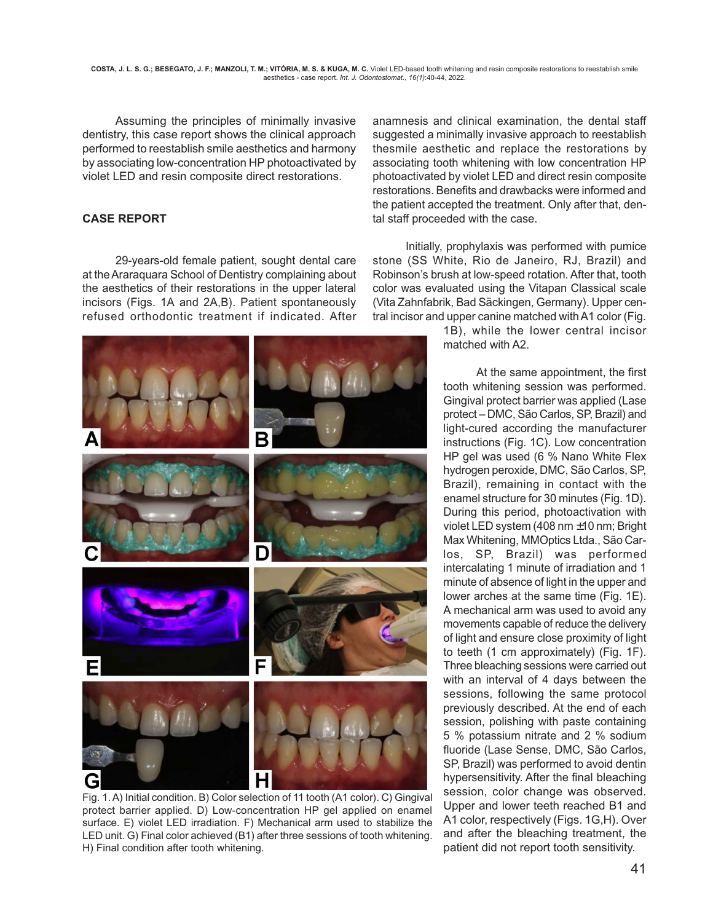Assuming the principles of minimally invasive dentistry, this case report shows the clinical approach performed to reestablish smile aesthetics and harmony by associating low-concentration HP photoactivated by violet LED and resin composite direct restorations.

# **CASE REPORT**

29-years-old female patient, sought dental care at the Araraquara School of Dentistry complaining about the aesthetics of their restorations in the upper lateral incisors (Figs. 1A and 2A,B). Patient spontaneously refused orthodontic treatment if indicated. After



Fig. 1. A) Initial condition. B) Color selection of 11 tooth (A1 color). C) Gingival protect barrier applied. D) Low-concentration HP gel applied on enamel surface. E) violet LED irradiation. F) Mechanical arm used to stabilize the LED unit. G) Final color achieved (B1) after three sessions of tooth whitening. H) Final condition after tooth whitening.

anamnesis and clinical examination, the dental staff suggested a minimally invasive approach to reestablish thesmile aesthetic and replace the restorations by associating tooth whitening with low concentration HP photoactivated by violet LED and direct resin composite restorations. Benefits and drawbacks were informed and the patient accepted the treatment. Only after that, dental staff proceeded with the case.

Initially, prophylaxis was performed with pumice stone (SS White, Rio de Janeiro, RJ, Brazil) and Robinson's brush at low-speed rotation. After that, tooth color was evaluated using the Vitapan Classical scale (Vita Zahnfabrik, Bad Säckingen, Germany). Upper central incisor and upper canine matched with A1 color (Fig.

> 1B), while the lower central incisor matched with A2.

At the same appointment, the first tooth whitening session was performed. Gingival protect barrier was applied (Lase protect – DMC, São Carlos, SP, Brazil) and light-cured according the manufacturer instructions (Fig. 1C). Low concentration HP gel was used (6 % Nano White Flex hydrogen peroxide, DMC, São Carlos, SP, Brazil), remaining in contact with the enamel structure for 30 minutes (Fig. 1D). During this period, photoactivation with violet LED system (408 nm ±10 nm; Bright Max Whitening, MMOptics Ltda., São Carlos, SP, Brazil) was performed intercalating 1 minute of irradiation and 1 minute of absence of light in the upper and lower arches at the same time (Fig. 1E). A mechanical arm was used to avoid any movements capable of reduce the delivery of light and ensure close proximity of light to teeth (1 cm approximately) (Fig. 1F). Three bleaching sessions were carried out with an interval of 4 days between the sessions, following the same protocol previously described. At the end of each session, polishing with paste containing 5 % potassium nitrate and 2 % sodium fluoride (Lase Sense, DMC, São Carlos, SP, Brazil) was performed to avoid dentin hypersensitivity. After the final bleaching session, color change was observed. Upper and lower teeth reached B1 and A1 color, respectively (Figs. 1G,H). Over and after the bleaching treatment, the patient did not report tooth sensitivity.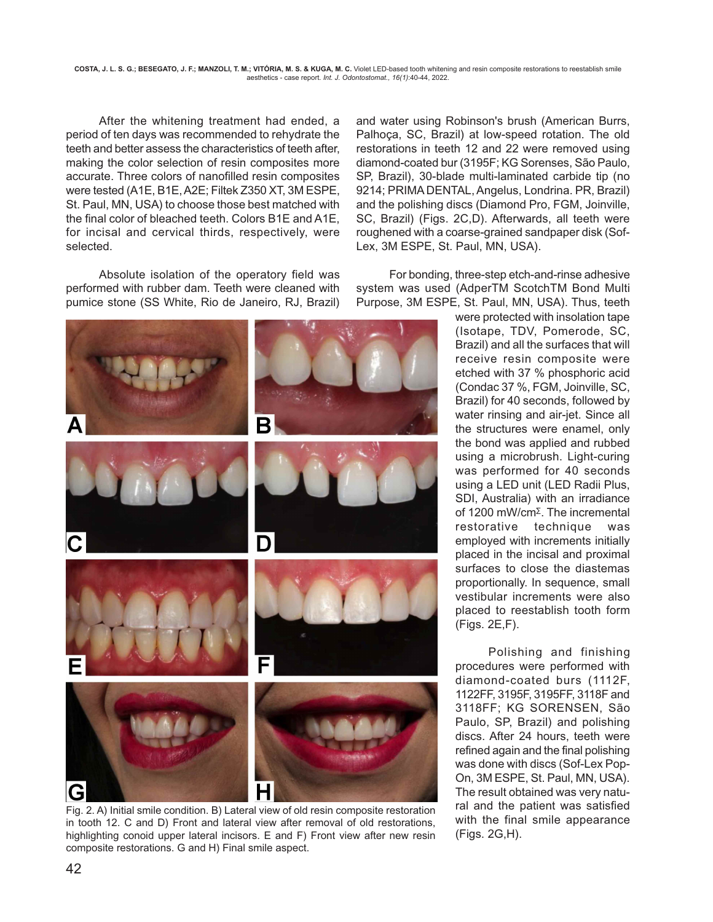**COSTA, J. L. S. G.; BESEGATO, J. F.; MANZOLI, T. M.; VITÓRIA, M. S. & KUGA, M. C.** Violet LED-based tooth whitening and resin composite restorations to reestablish smile aesthetics - case report. *Int. J. Odontostomat., 16(1)*:40-44, 2022.

After the whitening treatment had ended, a period of ten days was recommended to rehydrate the teeth and better assess the characteristics of teeth after, making the color selection of resin composites more accurate. Three colors of nanofilled resin composites were tested (A1E, B1E, A2E; Filtek Z350 XT, 3M ESPE, St. Paul, MN, USA) to choose those best matched with the final color of bleached teeth. Colors B1E and A1E, for incisal and cervical thirds, respectively, were selected.

Absolute isolation of the operatory field was performed with rubber dam. Teeth were cleaned with pumice stone (SS White, Rio de Janeiro, RJ, Brazil)



Fig. 2. A) Initial smile condition. B) Lateral view of old resin composite restoration in tooth 12. C and D) Front and lateral view after removal of old restorations, highlighting conoid upper lateral incisors. E and F) Front view after new resin composite restorations. G and H) Final smile aspect.

and water using Robinson's brush (American Burrs, Palhoça, SC, Brazil) at low-speed rotation. The old restorations in teeth 12 and 22 were removed using diamond-coated bur (3195F; KG Sorenses, São Paulo, SP, Brazil), 30-blade multi-laminated carbide tip (no 9214; PRIMA DENTAL, Angelus, Londrina. PR, Brazil) and the polishing discs (Diamond Pro, FGM, Joinville, SC, Brazil) (Figs. 2C,D). Afterwards, all teeth were roughened with a coarse-grained sandpaper disk (Sof-Lex, 3M ESPE, St. Paul, MN, USA).

For bonding, three-step etch-and-rinse adhesive system was used (AdperTM ScotchTM Bond Multi Purpose, 3M ESPE, St. Paul, MN, USA). Thus, teeth

> were protected with insolation tape (Isotape, TDV, Pomerode, SC, Brazil) and all the surfaces that will receive resin composite were etched with 37 % phosphoric acid (Condac 37 %, FGM, Joinville, SC, Brazil) for 40 seconds, followed by water rinsing and air-jet. Since all the structures were enamel, only the bond was applied and rubbed using a microbrush. Light-curing was performed for 40 seconds using a LED unit (LED Radii Plus, SDI, Australia) with an irradiance of 1200 mW/cm<sup>∑</sup>. The incremental restorative technique was employed with increments initially placed in the incisal and proximal surfaces to close the diastemas proportionally. In sequence, small vestibular increments were also placed to reestablish tooth form (Figs. 2E,F).

> Polishing and finishing procedures were performed with diamond-coated burs (1112F, 1122FF, 3195F, 3195FF, 3118F and 3118FF; KG SORENSEN, São Paulo, SP, Brazil) and polishing discs. After 24 hours, teeth were refined again and the final polishing was done with discs (Sof-Lex Pop-On, 3M ESPE, St. Paul, MN, USA). The result obtained was very natural and the patient was satisfied with the final smile appearance (Figs. 2G,H).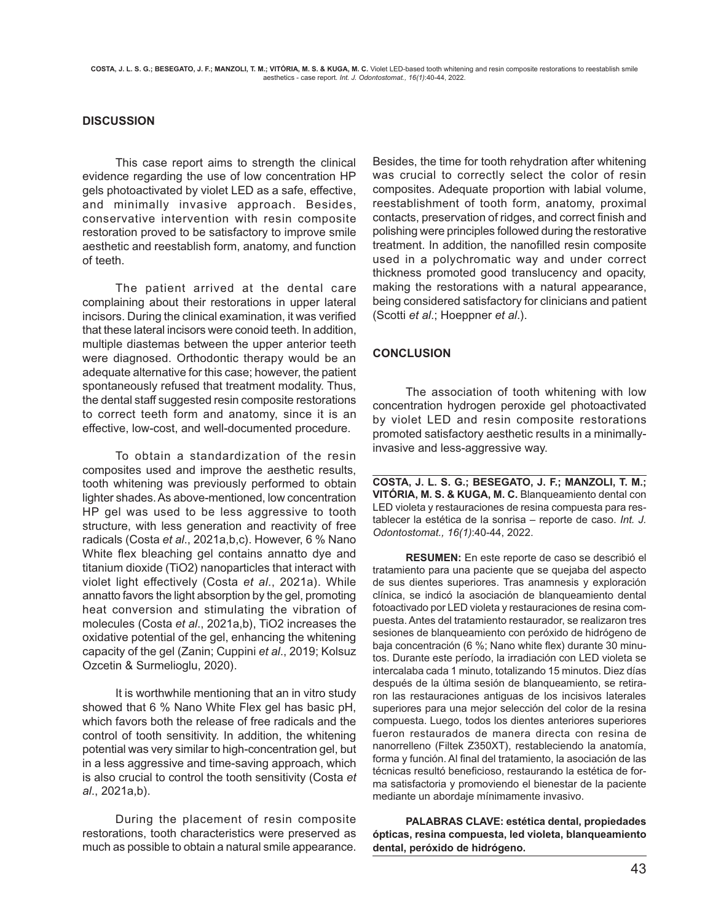#### **DISCUSSION**

This case report aims to strength the clinical evidence regarding the use of low concentration HP gels photoactivated by violet LED as a safe, effective, and minimally invasive approach. Besides, conservative intervention with resin composite restoration proved to be satisfactory to improve smile aesthetic and reestablish form, anatomy, and function of teeth.

The patient arrived at the dental care complaining about their restorations in upper lateral incisors. During the clinical examination, it was verified that these lateral incisors were conoid teeth. In addition, multiple diastemas between the upper anterior teeth were diagnosed. Orthodontic therapy would be an adequate alternative for this case; however, the patient spontaneously refused that treatment modality. Thus, the dental staff suggested resin composite restorations to correct teeth form and anatomy, since it is an effective, low-cost, and well-documented procedure.

To obtain a standardization of the resin composites used and improve the aesthetic results, tooth whitening was previously performed to obtain lighter shades. As above-mentioned, low concentration HP gel was used to be less aggressive to tooth structure, with less generation and reactivity of free radicals (Costa *et al*., 2021a,b,c). However, 6 % Nano White flex bleaching gel contains annatto dye and titanium dioxide (TiO2) nanoparticles that interact with violet light effectively (Costa *et al*., 2021a). While annatto favors the light absorption by the gel, promoting heat conversion and stimulating the vibration of molecules (Costa *et al*., 2021a,b), TiO2 increases the oxidative potential of the gel, enhancing the whitening capacity of the gel (Zanin; Cuppini *et al*., 2019; Kolsuz Ozcetin & Surmelioglu, 2020).

It is worthwhile mentioning that an in vitro study showed that 6 % Nano White Flex gel has basic pH, which favors both the release of free radicals and the control of tooth sensitivity. In addition, the whitening potential was very similar to high-concentration gel, but in a less aggressive and time-saving approach, which is also crucial to control the tooth sensitivity (Costa *et al*., 2021a,b).

During the placement of resin composite restorations, tooth characteristics were preserved as much as possible to obtain a natural smile appearance.

Besides, the time for tooth rehydration after whitening was crucial to correctly select the color of resin composites. Adequate proportion with labial volume, reestablishment of tooth form, anatomy, proximal contacts, preservation of ridges, and correct finish and polishing were principles followed during the restorative treatment. In addition, the nanofilled resin composite used in a polychromatic way and under correct thickness promoted good translucency and opacity, making the restorations with a natural appearance, being considered satisfactory for clinicians and patient (Scotti *et al*.; Hoeppner *et al*.).

## **CONCLUSION**

The association of tooth whitening with low concentration hydrogen peroxide gel photoactivated by violet LED and resin composite restorations promoted satisfactory aesthetic results in a minimallyinvasive and less-aggressive way.

**COSTA, J. L. S. G.; BESEGATO, J. F.; MANZOLI, T. M.; VITÓRIA, M. S. & KUGA, M. C.** Blanqueamiento dental con LED violeta y restauraciones de resina compuesta para restablecer la estética de la sonrisa – reporte de caso. *Int. J. Odontostomat., 16(1)*:40-44, 2022.

**RESUMEN:** En este reporte de caso se describió el tratamiento para una paciente que se quejaba del aspecto de sus dientes superiores. Tras anamnesis y exploración clínica, se indicó la asociación de blanqueamiento dental fotoactivado por LED violeta y restauraciones de resina compuesta. Antes del tratamiento restaurador, se realizaron tres sesiones de blanqueamiento con peróxido de hidrógeno de baja concentración (6 %; Nano white flex) durante 30 minutos. Durante este período, la irradiación con LED violeta se intercalaba cada 1 minuto, totalizando 15 minutos. Diez días después de la última sesión de blanqueamiento, se retiraron las restauraciones antiguas de los incisivos laterales superiores para una mejor selección del color de la resina compuesta. Luego, todos los dientes anteriores superiores fueron restaurados de manera directa con resina de nanorrelleno (Filtek Z350XT), restableciendo la anatomía, forma y función. Al final del tratamiento, la asociación de las técnicas resultó beneficioso, restaurando la estética de forma satisfactoria y promoviendo el bienestar de la paciente mediante un abordaje mínimamente invasivo.

**PALABRAS CLAVE: estética dental, propiedades ópticas, resina compuesta, led violeta, blanqueamiento dental, peróxido de hidrógeno.**